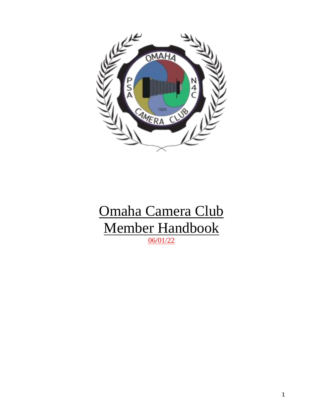

# Omaha Camera Club Member Handbook 06/01/22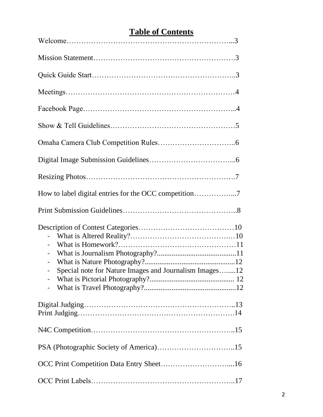# **Table of Contents**

| $\overline{\phantom{0}}$<br>-<br>Special note for Nature Images and Journalism Images12 |
|-----------------------------------------------------------------------------------------|
|                                                                                         |
|                                                                                         |
|                                                                                         |
|                                                                                         |
|                                                                                         |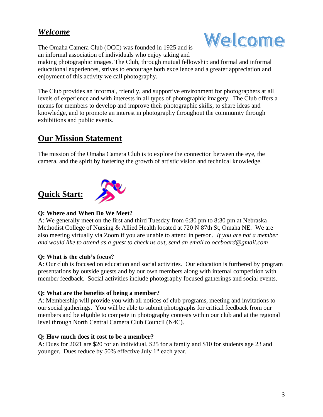## *Welcome*

The Omaha Camera Club (OCC) was founded in 1925 and is an informal association of individuals who enjoy taking and



making photographic images. The Club, through mutual fellowship and formal and informal educational experiences, strives to encourage both excellence and a greater appreciation and enjoyment of this activity we call photography.

The Club provides an informal, friendly, and supportive environment for photographers at all levels of experience and with interests in all types of photographic imagery. The Club offers a means for members to develop and improve their photographic skills, to share ideas and knowledge, and to promote an interest in photography throughout the community through exhibitions and public events.

# **Our Mission Statement**

The mission of the Omaha Camera Club is to explore the connection between the eye, the camera, and the spirit by fostering the growth of artistic vision and technical knowledge.

# **Quick Start:**



### **Q: Where and When Do We Meet?**

A: We generally meet on the first and third Tuesday from 6:30 pm to 8:30 pm at Nebraska Methodist College of Nursing & Allied Health located at 720 N 87th St, Omaha NE. We are also meeting virtually via Zoom if you are unable to attend in person. *If you are not a member and would like to attend as a guest to check us out, send an email to occboard@gmail.com*

## **Q: What is the club's focus?**

A: Our club is focused on education and social activities. Our education is furthered by program presentations by outside guests and by our own members along with internal competition with member feedback. Social activities include photography focused gatherings and social events.

### **Q: What are the benefits of being a member?**

A: Membership will provide you with all notices of club programs, meeting and invitations to our social gatherings. You will be able to submit photographs for critical feedback from our members and be eligible to compete in photography contests within our club and at the regional level through North Central Camera Club Council (N4C).

### **Q: How much does it cost to be a member?**

A: Dues for 2021 are \$20 for an individual, \$25 for a family and \$10 for students age 23 and younger. Dues reduce by 50% effective July 1<sup>st</sup> each year.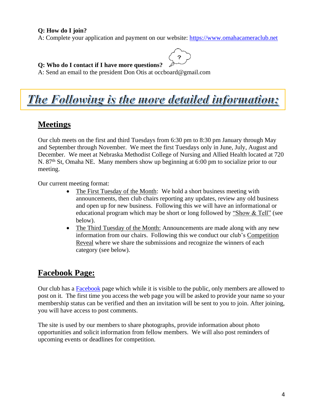#### **Q: How do I join?**

A: Complete your application and payment on our website: [https://www.omahacameraclub.net](https://www.omahacameraclub.net/)

 $\tilde{z}$ 

#### **Q: Who do I contact if I have more questions?**

A: Send an email to the president Don Otis at [occboard@gmail.com](mailto:occboard@gmail.com)

# The Following is the more detailed information:

## **Meetings**

Our club meets on the first and third Tuesdays from 6:30 pm to 8:30 pm January through May and September through November. We meet the first Tuesdays only in June, July, August and December. We meet at Nebraska Methodist College of Nursing and Allied Health located at 720 N. 87<sup>th</sup> St, Omaha NE. Many members show up beginning at 6:00 pm to socialize prior to our meeting.

Our current meeting format:

- The First Tuesday of the Month: We hold a short business meeting with announcements, then club chairs reporting any updates, review any old business and open up for new business. Following this we will have an informational or educational program which may be short or long followed by "Show & Tell" (see below).
- The Third Tuesday of the Month: Announcements are made along with any new information from our chairs. Following this we conduct our club's Competition Reveal where we share the submissions and recognize the winners of each category (see below).

## **Facebook Page:**

Our club has a **Facebook** page which while it is visible to the public, only members are allowed to post on it. The first time you access the web page you will be asked to provide your name so your membership status can be verified and then an invitation will be sent to you to join. After joining, you will have access to post comments.

The site is used by our members to share photographs, provide information about photo opportunities and solicit information from fellow members. We will also post reminders of upcoming events or deadlines for competition.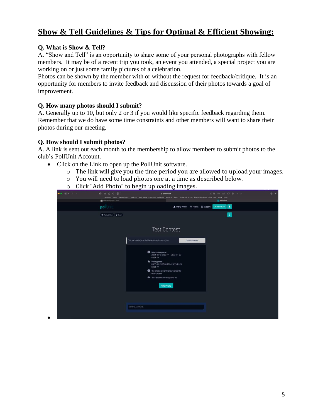## **Show & Tell Guidelines & Tips for Optimal & Efficient Showing:**

#### **Q. What is Show & Tell?**

A. "Show and Tell" is an opportunity to share some of your personal photographs with fellow members. It may be of a recent trip you took, an event you attended, a special project you are working on or just some family pictures of a celebration.

Photos can be shown by the member with or without the request for feedback/critique. It is an opportunity for members to invite feedback and discussion of their photos towards a goal of improvement.

#### **Q. How many photos should I submit?**

A. Generally up to 10, but only 2 or 3 if you would like specific feedback regarding them. Remember that we do have some time constraints and other members will want to share their photos during our meeting.

#### **Q. How should I submit photos?**

•

A. A link is sent out each month to the membership to allow members to submit photos to the club's PollUnit Account.

- Click on the Link to open up the PollUnit software.
	- o The link will give you the time period you are allowed to upload your images.
	- o You will need to load photos one at a time as described below.
	- o Click "Add Photo" to begin uploading images.

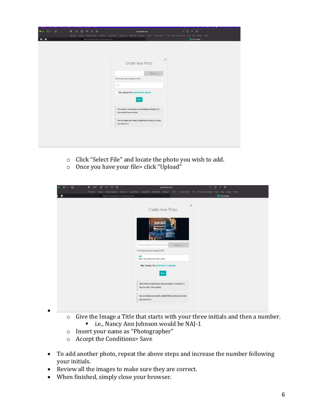|                                             | a pollunit.com                                                                                                                                                 | <b>c</b> 西 + 图 |
|---------------------------------------------|----------------------------------------------------------------------------------------------------------------------------------------------------------------|----------------|
|                                             | My Steu ~ Weebly Wabste Design ~ Banking ~ Apolo Stes ~ iDood Drive Wellrander Weather ~ News ~ Coople Stes ~ TPE PSA Festival Uploads Apole Bing Google Yahoo |                |
| Home   Rural Wisconsin Virtual Cernera Club |                                                                                                                                                                | Test Contest   |
|                                             |                                                                                                                                                                |                |
|                                             |                                                                                                                                                                |                |
|                                             |                                                                                                                                                                |                |
|                                             |                                                                                                                                                                | $\mathbf{x}$   |
|                                             | Create new Photo                                                                                                                                               |                |
|                                             |                                                                                                                                                                |                |
|                                             |                                                                                                                                                                |                |
|                                             | Seiect file                                                                                                                                                    |                |
|                                             | The file size must not exceed 2.0 MB.                                                                                                                          |                |
|                                             | Title"                                                                                                                                                         |                |
|                                             |                                                                                                                                                                |                |
|                                             | Yes, I accept the conditions for uploads                                                                                                                       |                |
|                                             | Save                                                                                                                                                           |                |
|                                             |                                                                                                                                                                |                |
|                                             |                                                                                                                                                                |                |
|                                             | The number of submissions per participant is limited to 2.<br>You can add 2 more photos.                                                                       |                |
|                                             |                                                                                                                                                                |                |
|                                             | You can delete your newly created Photo as long as no one                                                                                                      |                |
|                                             | has voted for it.                                                                                                                                              |                |
|                                             |                                                                                                                                                                |                |
|                                             |                                                                                                                                                                |                |
|                                             |                                                                                                                                                                |                |
|                                             |                                                                                                                                                                |                |
|                                             |                                                                                                                                                                |                |

- o Click "Select File" and locate the photo you wish to add.
- o Once you have your file> click "Upload"

| <b>ロ</b> ・介<br>0 2 3 3 4 6<br>$\sim$ $\sim$<br>Home I Rural Wisconsin Virtual Camera Club | pollunit.com<br>My Sites v Weebly Website Design v Banking v Apple Sites v ICloud Drive Welfansler Weather v News v Google Sites v TPE PSA Festival Uploads Apple Bing Google Yahoo | <b>c</b> 凸 + 器<br>Test Contest |
|-------------------------------------------------------------------------------------------|-------------------------------------------------------------------------------------------------------------------------------------------------------------------------------------|--------------------------------|
|                                                                                           | $\mathbf{x}$                                                                                                                                                                        |                                |
|                                                                                           | Create new Photo                                                                                                                                                                    |                                |
|                                                                                           |                                                                                                                                                                                     |                                |
|                                                                                           | C:\/ehepath\Rapid City Photo Fest 20.<br>Select file<br>The file size must not exceed 2.0 MB.                                                                                       |                                |
|                                                                                           | Title"<br>Rapid City Photo Fest 2021_0043                                                                                                                                           |                                |
|                                                                                           | Yes, I accept the conditions for uploads<br>Save                                                                                                                                    |                                |
|                                                                                           | The number of submissions per participant is limited to 2.<br>You can add 2 more photos.                                                                                            |                                |
|                                                                                           | You can delete your newly created Photo as long as no one<br>has voted for it.                                                                                                      |                                |

- o Give the Image a Title that starts with your three initials and then a number.
	- i.e., Nancy Ann Johnson would be NAJ-1
- o Insert your name as "Photographer"
- o Accept the Conditions> Save

•

- To add another photo, repeat the above steps and increase the number following your initials.
- Review all the images to make sure they are correct.
- When finished, simply close your browser.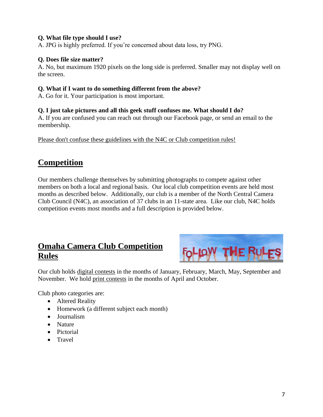#### **Q. What file type should I use?**

A. JPG is highly preferred. If you're concerned about data loss, try PNG.

#### **Q. Does file size matter?**

A. No, but maximum 1920 pixels on the long side is preferred. Smaller may not display well on the screen.

#### **Q. What if I want to do something different from the above?**

A. Go for it. Your participation is most important.

#### **Q. I just take pictures and all this geek stuff confuses me. What should I do?**

A. If you are confused you can reach out through our Facebook page, or send an email to the membership.

Please don't confuse these guidelines with the N4C or Club competition rules!

## **Competition**

Our members challenge themselves by submitting photographs to compete against other members on both a local and regional basis. Our local club competition events are held most months as described below. Additionally, our club is a member of the North Central Camera Club Council (N4C), an association of 37 clubs in an 11-state area. Like our club, N4C holds competition events most months and a full description is provided below.

# **Omaha Camera Club Competition Rules**



Our club holds digital contests in the months of January, February, March, May, September and November. We hold print contests in the months of April and October.

Club photo categories are:

- Altered Reality
- Homework (a different subject each month)
- Journalism
- Nature
- Pictorial
- Travel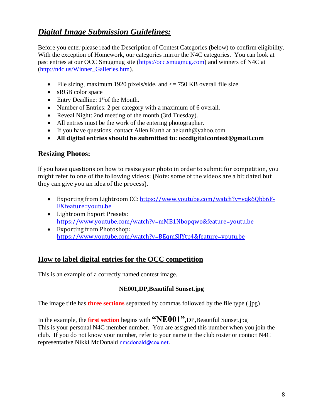# *Digital Image Submission Guidelines:*

Before you enter please read the Description of Contest Categories (below) to confirm eligibility. With the exception of Homework, our categories mirror the N4C categories. You can look at past entries at our OCC Smugmug site [\(https://occ.smugmug.com\)](https://occ.smugmug.com/) and winners of N4C at [\(http://n4c.us/Winner\\_Galleries.htm\)](http://n4c.us/Winner_Galleries.htm).

- File sizing, maximum 1920 pixels/side, and  $\leq$  750 KB overall file size
- sRGB color space
- Entry Deadline:  $1<sup>st</sup>$ of the Month.
- Number of Entries: 2 per category with a maximum of 6 overall.
- Reveal Night: 2nd meeting of the month (3rd Tuesday).
- All entries must be the work of the entering photographer.
- If you have questions, contact Allen Kurth at a[ekurth@yahoo.com](mailto:aekurth@yahoo.com)
- **All digital entries should be submitted to: [occdigitalcontest@gmail.com](mailto:occdigitalcontest@gmail.com)**

## **Resizing Photos:**

If you have questions on how to resize your photo in order to submit for competition, you might refer to one of the following videos: (Note: some of the videos are a bit dated but they can give you an idea of the process).

- Exporting from Lightroom CC: [https://www.youtube.com/watch?v=vqk6Qbb6F-](https://www.youtube.com/watch?v=vqk6Qbb6F-E&feature=youtu.be)[E&feature=youtu.be](https://www.youtube.com/watch?v=vqk6Qbb6F-E&feature=youtu.be)
- Lightroom Export Presets: <https://www.youtube.com/watch?v=mMB1Nbopqwo&feature=youtu.be>
- Exporting from Photoshop: <https://www.youtube.com/watch?v=BEqmSllYtp4&feature=youtu.be>

## **How to label digital entries for the OCC competition**

This is an example of a correctly named contest image.

#### **NE001,DP,Beautiful Sunset.jpg**

The image title has **three sections** separated by commas followed by the file type (.jpg)

In the example, the **first section** begins with **"NE001",**DP,Beautiful Sunset.jpg This is your personal N4C member number. You are assigned this number when you join the club. If you do not know your number, refer to your name in the club roster or contact N4C representative Nikki McDonald [nmcdonald@cox.net.](mailto:nmcdonald@cox.net)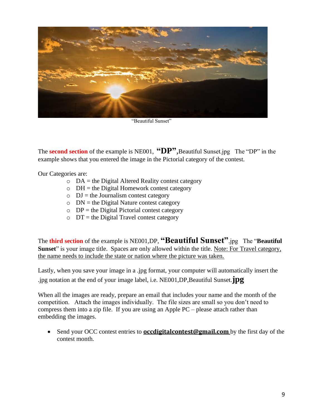

"Beautiful Sunset"

The **second section** of the example is NE001, "DP", Beautiful Sunset.jpg The "DP" in the example shows that you entered the image in the Pictorial category of the contest.

Our Categories are:

- $O$  DA = the Digital Altered Reality contest category
- $\circ$  DH = the Digital Homework contest category
- $\circ$  DJ = the Journalism contest category
- $\circ$  DN = the Digital Nature contest category
- $OP =$  the Digital Pictorial contest category
- $\circ$  DT = the Digital Travel contest category

The **third section** of the example is NE001,DP, **"Beautiful Sunset"**.jpg The "**Beautiful**  Sunset" is your image title. Spaces are only allowed within the title. Note: For Travel category, the name needs to include the state or nation where the picture was taken.

Lastly, when you save your image in a .jpg format, your computer will automatically insert the .jpg notation at the end of your image label, i.e. NE001,DP,Beautiful Sunset.**jpg**

When all the images are ready, prepare an email that includes your name and the month of the competition. Attach the images individually. The file sizes are small so you don't need to compress them into a zip file. If you are using an Apple PC – please attach rather than embedding the images.

• Send your OCC contest entries to **occdigital contest@gmail.com** by the first day of the contest month.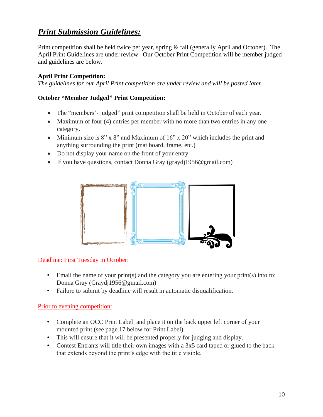# *Print Submission Guidelines:*

Print competition shall be held twice per year, spring & fall (generally April and October). The April Print Guidelines are under review. Our October Print Competition will be member judged and guidelines are below.

## **April Print Competition:**

*The guidelines for our April Print competition are under review and will be posted later.*

### **October "Member Judged" Print Competition:**

- The "members" judged" print competition shall be held in October of each year.
- Maximum of four (4) entries per member with no more than two entries in any one category.
- Minimum size is 8" x 8" and Maximum of 16" x 20" which includes the print and anything surrounding the print (mat board, frame, etc.)
- Do not display your name on the front of your entry.
- If you have questions, contact Donna Gray [\(graydj1956@gmail.com\)](mailto:graydj1956@gmail.com)



Deadline: First Tuesday in October:

- Email the name of your print(s) and the category you are entering your print(s) into to: Donna Gray (Graydj1956@gmail.com)
- Failure to submit by deadline will result in automatic disqualification.

#### Prior to evening competition:

- Complete an [OCC Print Label](https://www.omahacameraclub.net/uploads/3/8/9/9/3899066/occ_print_data_sheet___labels.pdf) and place it on the back upper left corner of your mounted print (see page 17 below for Print Label).
- This will ensure that it will be presented properly for judging and display.
- Contest Entrants will title their own images with a 3x5 card taped or glued to the back that extends beyond the print's edge with the title visible.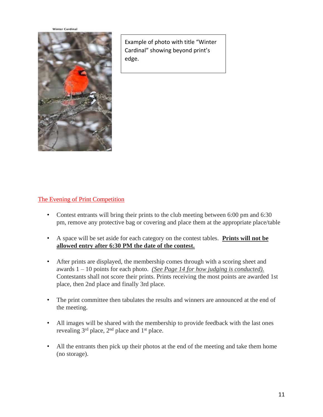**Winter Cardinal** 



Example of photo with title "Winter Cardinal" showing beyond print's edge.

### The Evening of Print Competition

- Contest entrants will bring their prints to the club meeting between 6:00 pm and 6:30 pm, remove any protective bag or covering and place them at the appropriate place/table
- A space will be set aside for each category on the contest tables. **Prints will not be allowed entry after 6:30 PM the date of the contest.**
- After prints are displayed, the membership comes through with a scoring sheet and awards 1 – 10 points for each photo. *(See Page 14 for how judging is conducted).* Contestants shall not score their prints. Prints receiving the most points are awarded 1st place, then 2nd place and finally 3rd place.
- The print committee then tabulates the results and winners are announced at the end of the meeting.
- All images will be shared with the membership to provide feedback with the last ones revealing 3rd place, 2nd place and 1st place.
- All the entrants then pick up their photos at the end of the meeting and take them home (no storage).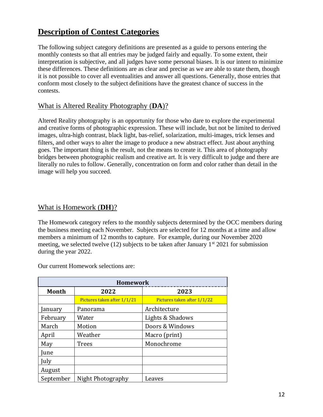# **Description of Contest Categories**

The following subject category definitions are presented as a guide to persons entering the monthly contests so that all entries may be judged fairly and equally. To some extent, their interpretation is subjective, and all judges have some personal biases. It is our intent to minimize these differences. These definitions are as clear and precise as we are able to state them, though it is not possible to cover all eventualities and answer all questions. Generally, those entries that conform most closely to the subject definitions have the greatest chance of success in the contests.

## What is Altered Reality Photography (**DA**)?

Altered Reality photography is an opportunity for those who dare to explore the experimental and creative forms of photographic expression. These will include, but not be limited to derived images, ultra-high contrast, black light, bas-relief, solarization, multi-images, trick lenses and filters, and other ways to alter the image to produce a new abstract effect. Just about anything goes. The important thing is the result, not the means to create it. This area of photography bridges between photographic realism and creative art. It is very difficult to judge and there are literally no rules to follow. Generally, concentration on form and color rather than detail in the image will help you succeed.

### What is Homework (**DH**)?

The Homework category refers to the monthly subjects determined by the OCC members during the business meeting each November. Subjects are selected for 12 months at a time and allow members a minimum of 12 months to capture. For example, during our November 2020 meeting, we selected twelve (12) subjects to be taken after January  $1<sup>st</sup> 2021$  for submission during the year 2022.

Our current Homework selections are:

| <b>Homework</b>      |                             |                             |  |
|----------------------|-----------------------------|-----------------------------|--|
| <b>Month</b><br>2022 |                             | 2023                        |  |
|                      | Pictures taken after 1/1/21 | Pictures taken after 1/1/22 |  |
| January              | Panorama                    | Architecture                |  |
| February             | Water                       | Lights & Shadows            |  |
| March                | Motion                      | Doors & Windows             |  |
| April                | Weather                     | Macro (print)               |  |
| May                  | <b>Trees</b>                | Monochrome                  |  |
| June                 |                             |                             |  |
| July                 |                             |                             |  |
| August               |                             |                             |  |
| September            | Night Photography           | Leaves                      |  |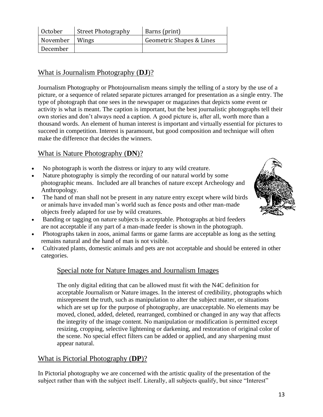| October          | <b>Street Photography</b> | Barns (print)            |
|------------------|---------------------------|--------------------------|
| November   Wings |                           | Geometric Shapes & Lines |
| December         |                           |                          |

## What is Journalism Photography (**DJ**)?

Journalism Photography or Photojournalism means simply the telling of a story by the use of a picture, or a sequence of related separate pictures arranged for presentation as a single entry. The type of photograph that one sees in the newspaper or magazines that depicts some event or activity is what is meant. The caption is important, but the best journalistic photographs tell their own stories and don't always need a caption. A good picture is, after all, worth more than a thousand words. An element of human interest is important and virtually essential for pictures to succeed in competition. Interest is paramount, but good composition and technique will often make the difference that decides the winners.

## What is Nature Photography (**DN**)?

- No photograph is worth the distress or injury to any wild creature.
- Nature photography is simply the recording of our natural world by some photographic means. Included are all branches of nature except Archeology and Anthropology.
- The hand of man shall not be present in any nature entry except where wild birds or animals have invaded man's world such as fence posts and other man-made objects freely adapted for use by wild creatures.
- Banding or tagging on nature subjects is acceptable. Photographs at bird feeders are not acceptable if any part of a man-made feeder is shown in the photograph.
- Photographs taken in zoos, animal farms or game farms are acceptable as long as the setting remains natural and the hand of man is not visible.
- Cultivated plants, domestic animals and pets are not acceptable and should be entered in other categories.

## Special note for Nature Images and Journalism Images

The only digital editing that can be allowed must fit with the N4C definition for acceptable Journalism or Nature images. In the interest of credibility, photographs which misrepresent the truth, such as manipulation to alter the subject matter, or situations which are set up for the purpose of photography, are unacceptable. No elements may be moved, cloned, added, deleted, rearranged, combined or changed in any way that affects the integrity of the image content. No manipulation or modification is permitted except resizing, cropping, selective lightening or darkening, and restoration of original color of the scene. No special effect filters can be added or applied, and any sharpening must appear natural.

## What is Pictorial Photography (**DP**)?

In Pictorial photography we are concerned with the artistic quality of the presentation of the subject rather than with the subject itself. Literally, all subjects qualify, but since "Interest"

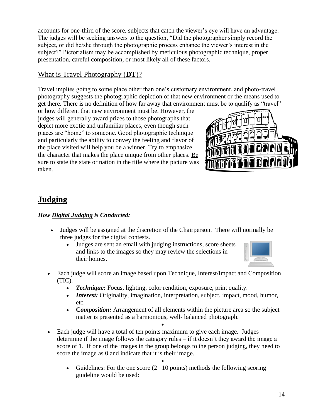accounts for one-third of the score, subjects that catch the viewer's eye will have an advantage. The judges will be seeking answers to the question, "Did the photographer simply record the subject, or did he/she through the photographic process enhance the viewer's interest in the subject?" Pictorialism may be accomplished by meticulous photographic technique, proper presentation, careful composition, or most likely all of these factors.

## What is Travel Photography (**DT**)?

Travel implies going to some place other than one's customary environment, and photo-travel photography suggests the photographic depiction of that new environment or the means used to get there. There is no definition of how far away that environment must be to qualify as "travel"

or how different that new environment must be. However, the judges will generally award prizes to those photographs that depict more exotic and unfamiliar places, even though such places are "home" to someone. Good photographic technique and particularly the ability to convey the feeling and flavor of the place visited will help you be a winner. Try to emphasize the character that makes the place unique from other places. Be sure to state the state or nation in the title where the picture was taken.



# **Judging**

### *How Digital Judging is Conducted:*

- Judges will be assigned at the discretion of the Chairperson. There will normally be three judges for the digital contests.
	- Judges are sent an email with judging instructions, score sheets and links to the images so they may review the selections in their homes.



- Each judge will score an image based upon Technique, Interest/Impact and Composition (TIC).
	- *Technique:* Focus, lighting, color rendition, exposure, print quality.
	- *Interest:* Originality, imagination, interpretation, subject, impact, mood, humor, etc.
	- **Composition:** Arrangement of all elements within the picture area so the subject matter is presented as a harmonious, well- balanced photograph.
- Each judge will have a total of ten points maximum to give each image. Judges determine if the image follows the category rules – if it doesn't they award the image a score of 1. If one of the images in the group belongs to the person judging, they need to score the image as 0 and indicate that it is their image.

•

•

• Guidelines: For the one score  $(2-10 \text{ points})$  methods the following scoring guideline would be used: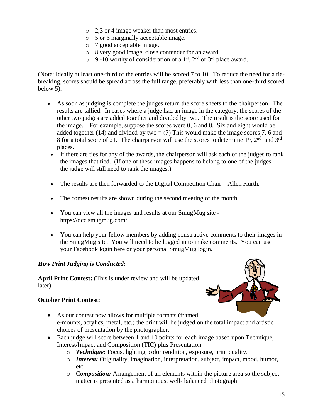- o 2,3 or 4 image weaker than most entries.
- o 5 or 6 marginally acceptable image.
- o 7 good acceptable image.
- o 8 very good image, close contender for an award.
- $\circ$  9 -10 worthy of consideration of a 1<sup>st</sup>, 2<sup>nd</sup> or 3<sup>rd</sup> place award.

(Note: Ideally at least one-third of the entries will be scored 7 to 10. To reduce the need for a tiebreaking, scores should be spread across the full range, preferably with less than one-third scored below 5).

- As soon as judging is complete the judges return the score sheets to the chairperson. The results are tallied. In cases where a judge had an image in the category, the scores of the other two judges are added together and divided by two. The result is the score used for the image. For example, suppose the scores were 0, 6 and 8. Six and eight would be added together (14) and divided by two  $=$  (7) This would make the image scores 7, 6 and 8 for a total score of 21. The chairperson will use the scores to determine  $1<sup>st</sup>$ ,  $2<sup>nd</sup>$  and  $3<sup>rd</sup>$ places.
- If there are ties for any of the awards, the chairperson will ask each of the judges to rank the images that tied. (If one of these images happens to belong to one of the judges – the judge will still need to rank the images.)
- The results are then forwarded to the Digital Competition Chair Allen Kurth.
- The contest results are shown during the second meeting of the month.
- You can view all the images and results at our SmugMug site <https://occ.smugmug.com/>
- You can help your fellow members by adding constructive comments to their images in the SmugMug site. You will need to be logged in to make comments. You can use your Facebook login here or your personal SmugMug login.

#### *How Print Judging is Conducted:*

**April Print Contest:** (This is under review and will be updated later)

#### **October Print Contest:**

- As our contest now allows for multiple formats (framed, e-mounts, acrylics, metal, etc.) the print will be judged on the total impact and artistic choices of presentation by the photographer.
- Each judge will score between 1 and 10 points for each image based upon Technique, Interest/Impact and Composition (TIC) plus Presentation.
	- o *Technique:* Focus, lighting, color rendition, exposure, print quality.
	- o *Interest:* Originality, imagination, interpretation, subject, impact, mood, humor, etc.
	- o C*omposition:* Arrangement of all elements within the picture area so the subject matter is presented as a harmonious, well- balanced photograph.

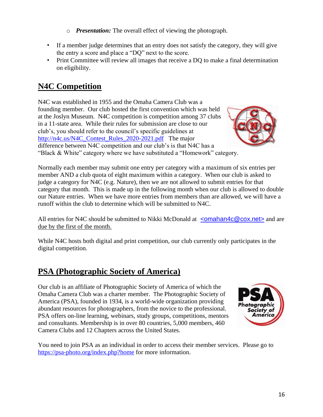- o *Presentation:* The overall effect of viewing the photograph.
- If a member judge determines that an entry does not satisfy the category, they will give the entry a score and place a "DQ" next to the score.
- Print Committee will review all images that receive a DQ to make a final determination on eligibility.

# **N4C Competition**

N4C was established in 1955 and the Omaha Camera Club was a founding member. Our club hosted the first convention which was held at the Joslyn Museum. N4C competition is competition among 37 clubs in a 11-state area. While their rules for submission are close to our club's, you should refer to the council's specific guidelines at [http://n4c.us/N4C\\_Contest\\_Rules\\_2020-2021.pdf](http://n4c.us/N4C_Contest_Rules_2020-2021.pdf) The major difference between N4C competition and our club's is that N4C has a "Black & White" category where we have substituted a "Homework" category.



Normally each member may submit one entry per category with a maximum of six entries per member AND a club quota of eight maximum within a category. When our club is asked to judge a category for N4C (e.g. Nature), then we are not allowed to submit entries for that category that month. This is made up in the following month when our club is allowed to double our Nature entries. When we have more entries from members than are allowed, we will have a runoff within the club to determine which will be submitted to N4C.

All entries for N4C should be submitted to Nikki McDonald at  $\leq$  comahan4c@cox.net and are due by the first of the month.

While N4C hosts both digital and print competition, our club currently only participates in the digital competition.

# **PSA (Photographic Society of America)**

Our club is an affiliate of Photographic Society of America of which the Omaha Camera Club was a charter member. The Photographic Society of America (PSA), founded in 1934, is a world-wide organization providing abundant resources for photographers, from the novice to the professional. PSA offers on-line learning, webinars, study groups, competitions, mentors and consultants. Membership is in over 80 countries, 5,000 members, 460 Camera Clubs and 12 Chapters across the United States.



You need to join PSA as an individual in order to access their member services. Please go to <https://psa-photo.org/index.php?home> for more information.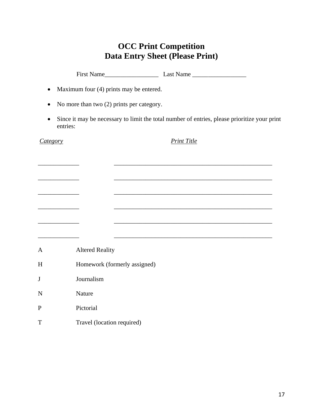# **OCC Print Competition Data Entry Sheet (Please Print)**

| $\bullet$                                              |          |                            | Maximum four (4) prints may be entered. |                                                                                              |
|--------------------------------------------------------|----------|----------------------------|-----------------------------------------|----------------------------------------------------------------------------------------------|
| No more than two (2) prints per category.<br>$\bullet$ |          |                            |                                         |                                                                                              |
| $\bullet$                                              | entries: |                            |                                         | Since it may be necessary to limit the total number of entries, please prioritize your print |
| <i>Category</i>                                        |          |                            |                                         | <b>Print Title</b>                                                                           |
|                                                        |          |                            |                                         |                                                                                              |
|                                                        |          |                            |                                         |                                                                                              |
|                                                        |          |                            |                                         |                                                                                              |
|                                                        |          |                            |                                         |                                                                                              |
|                                                        |          |                            |                                         |                                                                                              |
|                                                        |          |                            |                                         |                                                                                              |
| A                                                      |          | <b>Altered Reality</b>     |                                         |                                                                                              |
| H                                                      |          |                            | Homework (formerly assigned)            |                                                                                              |
| J                                                      |          | Journalism                 |                                         |                                                                                              |
| N                                                      |          | Nature                     |                                         |                                                                                              |
| $\mathbf P$                                            |          | Pictorial                  |                                         |                                                                                              |
| T                                                      |          | Travel (location required) |                                         |                                                                                              |